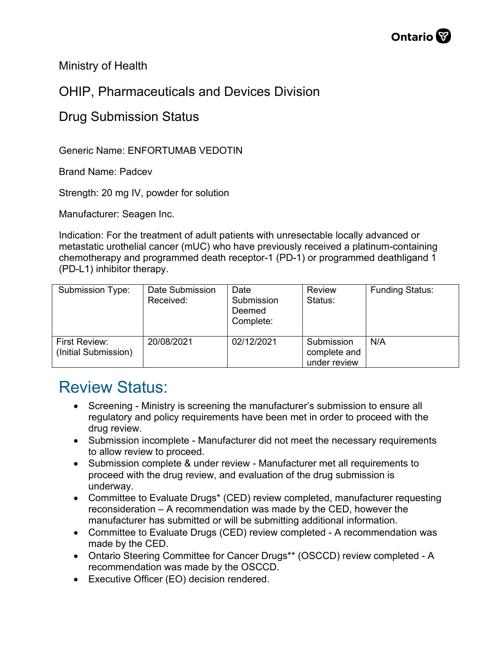Ministry of Health

## OHIP, Pharmaceuticals and Devices Division

## Drug Submission Status

Generic Name: ENFORTUMAB VEDOTIN

Brand Name: Padcev

Strength: 20 mg IV, powder for solution

Manufacturer: Seagen Inc.

Indication: For the treatment of adult patients with unresectable locally advanced or metastatic urothelial cancer (mUC) who have previously received a platinum-containing chemotherapy and programmed death receptor-1 (PD-1) or programmed deathligand 1 (PD-L1) inhibitor therapy.

| Submission Type:                      | Date Submission<br>Received: | Date<br>Submission<br>Deemed<br>Complete: | <b>Review</b><br>Status:                   | <b>Funding Status:</b> |
|---------------------------------------|------------------------------|-------------------------------------------|--------------------------------------------|------------------------|
| First Review:<br>(Initial Submission) | 20/08/2021                   | 02/12/2021                                | Submission<br>complete and<br>under review | N/A                    |

## Review Status:

- Screening Ministry is screening the manufacturer's submission to ensure all regulatory and policy requirements have been met in order to proceed with the drug review.
- Submission incomplete Manufacturer did not meet the necessary requirements to allow review to proceed.
- Submission complete & under review Manufacturer met all requirements to proceed with the drug review, and evaluation of the drug submission is underway.
- Committee to Evaluate Drugs\* (CED) review completed, manufacturer requesting reconsideration – A recommendation was made by the CED, however the manufacturer has submitted or will be submitting additional information.
- Committee to Evaluate Drugs (CED) review completed A recommendation was made by the CED.
- Ontario Steering Committee for Cancer Drugs\*\* (OSCCD) review completed A recommendation was made by the OSCCD.
- Executive Officer (EO) decision rendered.